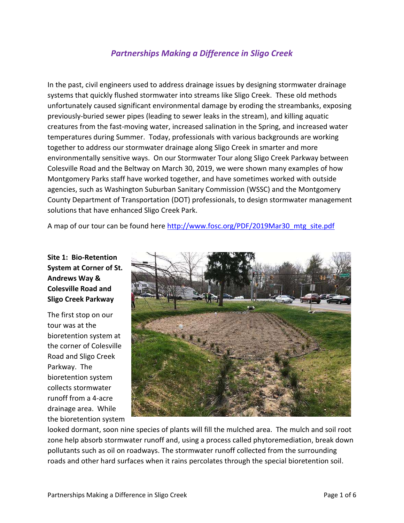# *Partnerships Making a Difference in Sligo Creek*

In the past, civil engineers used to address drainage issues by designing stormwater drainage systems that quickly flushed stormwater into streams like Sligo Creek. These old methods unfortunately caused significant environmental damage by eroding the streambanks, exposing previously-buried sewer pipes (leading to sewer leaks in the stream), and killing aquatic creatures from the fast-moving water, increased salination in the Spring, and increased water temperatures during Summer. Today, professionals with various backgrounds are working together to address our stormwater drainage along Sligo Creek in smarter and more environmentally sensitive ways. On our Stormwater Tour along Sligo Creek Parkway between Colesville Road and the Beltway on March 30, 2019, we were shown many examples of how Montgomery Parks staff have worked together, and have sometimes worked with outside agencies, such as Washington Suburban Sanitary Commission (WSSC) and the Montgomery County Department of Transportation (DOT) professionals, to design stormwater management solutions that have enhanced Sligo Creek Park.

A map of our tour can be found here [http://www.fosc.org/PDF/2019Mar30\\_mtg\\_site.pdf](http://www.fosc.org/PDF/2019Mar30_mtg_site.pdf)

## **Site 1: Bio-Retention System at Corner of St. Andrews Way & Colesville Road and Sligo Creek Parkway**

The first stop on our tour was at the bioretention system at the corner of Colesville Road and Sligo Creek Parkway. The bioretention system collects stormwater runoff from a 4-acre drainage area. While the bioretention system



looked dormant, soon nine species of plants will fill the mulched area. The mulch and soil root zone help absorb stormwater runoff and, using a process called phytoremediation, break down pollutants such as oil on roadways. The stormwater runoff collected from the surrounding roads and other hard surfaces when it rains percolates through the special bioretention soil.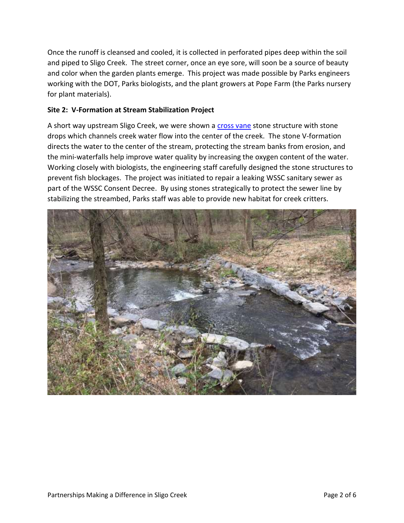Once the runoff is cleansed and cooled, it is collected in perforated pipes deep within the soil and piped to Sligo Creek. The street corner, once an eye sore, will soon be a source of beauty and color when the garden plants emerge. This project was made possible by Parks engineers working with the DOT, Parks biologists, and the plant growers at Pope Farm (the Parks nursery for plant materials).

## **Site 2: V-Formation at Stream Stabilization Project**

A short way upstream Sligo Creek, we were shown a [cross](https://cbtrust.org/wp-content/uploads/Cross-Vane-Fact-Sheet.pdf) vane stone structure with stone drops which channels creek water flow into the center of the creek. The stone V-formation directs the water to the center of the stream, protecting the stream banks from erosion, and the mini-waterfalls help improve water quality by increasing the oxygen content of the water. Working closely with biologists, the engineering staff carefully designed the stone structures to prevent fish blockages. The project was initiated to repair a leaking WSSC sanitary sewer as part of the WSSC Consent Decree. By using stones strategically to protect the sewer line by stabilizing the streambed, Parks staff was able to provide new habitat for creek critters.

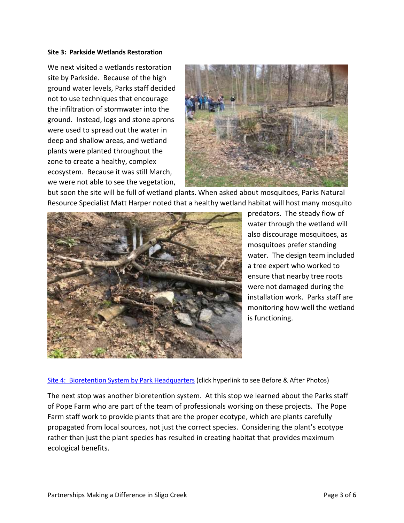#### **Site 3: Parkside Wetlands Restoration**

We next visited a wetlands restoration site by Parkside. Because of the high ground water levels, Parks staff decided not to use techniques that encourage the infiltration of stormwater into the ground. Instead, logs and stone aprons were used to spread out the water in deep and shallow areas, and wetland plants were planted throughout the zone to create a healthy, complex ecosystem. Because it was still March, we were not able to see the vegetation,



but soon the site will be full of wetland plants. When asked about mosquitoes, Parks Natural Resource Specialist Matt Harper noted that a healthy wetland habitat will host many mosquito



predators. The steady flow of water through the wetland will also discourage mosquitoes, as mosquitoes prefer standing water. The design team included a tree expert who worked to ensure that nearby tree roots were not damaged during the installation work. Parks staff are monitoring how well the wetland is functioning.

[Site 4: Bioretention System by Park Headquarters](https://www.flickr.com/photos/friendsofsligocreek/33661748838/in/album-72157679719681848/) (click hyperlink to see Before & After Photos)

The next stop was another bioretention system. At this stop we learned about the Parks staff of Pope Farm who are part of the team of professionals working on these projects. The Pope Farm staff work to provide plants that are the proper ecotype, which are plants carefully propagated from local sources, not just the correct species. Considering the plant's ecotype rather than just the plant species has resulted in creating habitat that provides maximum ecological benefits.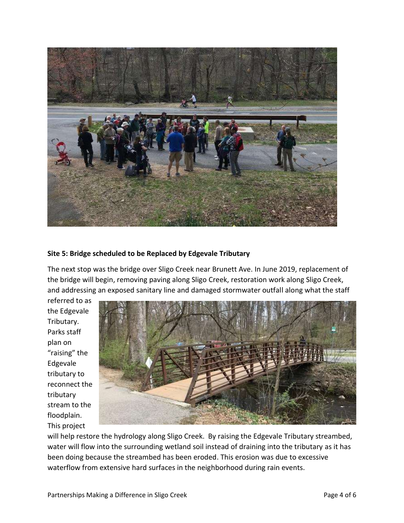

## **Site 5: Bridge scheduled to be Replaced by Edgevale Tributary**

The next stop was the bridge over Sligo Creek near Brunett Ave. In June 2019, replacement of the bridge will begin, removing paving along Sligo Creek, restoration work along Sligo Creek, and addressing an exposed sanitary line and damaged stormwater outfall along what the staff

referred to as the Edgevale Tributary. Parks staff plan on "raising" the Edgevale tributary to reconnect the tributary stream to the floodplain. This project



will help restore the hydrology along Sligo Creek. By raising the Edgevale Tributary streambed, water will flow into the surrounding wetland soil instead of draining into the tributary as it has been doing because the streambed has been eroded. This erosion was due to excessive waterflow from extensive hard surfaces in the neighborhood during rain events.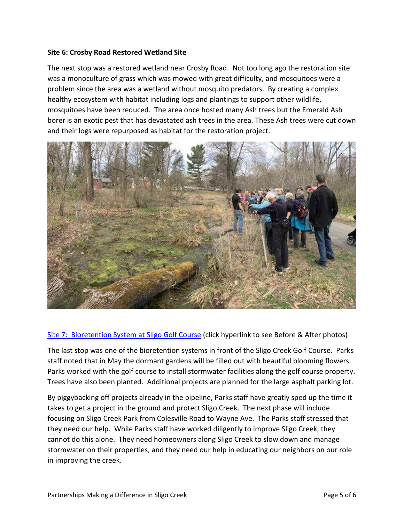## **Site 6: Crosby Road Restored Wetland Site**

The next stop was a restored wetland near Crosby Road. Not too long ago the restoration site was a monoculture of grass which was mowed with great difficulty, and mosquitoes were a problem since the area was a wetland without mosquito predators. By creating a complex healthy ecosystem with habitat including logs and plantings to support other wildlife, mosquitoes have been reduced. The area once hosted many Ash trees but the Emerald Ash borer is an exotic pest that has devastated ash trees in the area. These Ash trees were cut down and their logs were repurposed as habitat for the restoration project.



## [Site 7: Bioretention System at Sligo Golf Course](https://www.flickr.com/photos/friendsofsligocreek/46622994685/in/album-72157679719681848/) (click hyperlink to see Before & After photos)

The last stop was one of the bioretention systems in front of the Sligo Creek Golf Course. Parks staff noted that in May the dormant gardens will be filled out with beautiful blooming flowers. Parks worked with the golf course to install stormwater facilities along the golf course property. Trees have also been planted. Additional projects are planned for the large asphalt parking lot.

By piggybacking off projects already in the pipeline, Parks staff have greatly sped up the time it takes to get a project in the ground and protect Sligo Creek. The next phase will include focusing on Sligo Creek Park from Colesville Road to Wayne Ave. The Parks staff stressed that they need our help. While Parks staff have worked diligently to improve Sligo Creek, they cannot do this alone. They need homeowners along Sligo Creek to slow down and manage stormwater on their properties, and they need our help in educating our neighbors on our role in improving the creek.